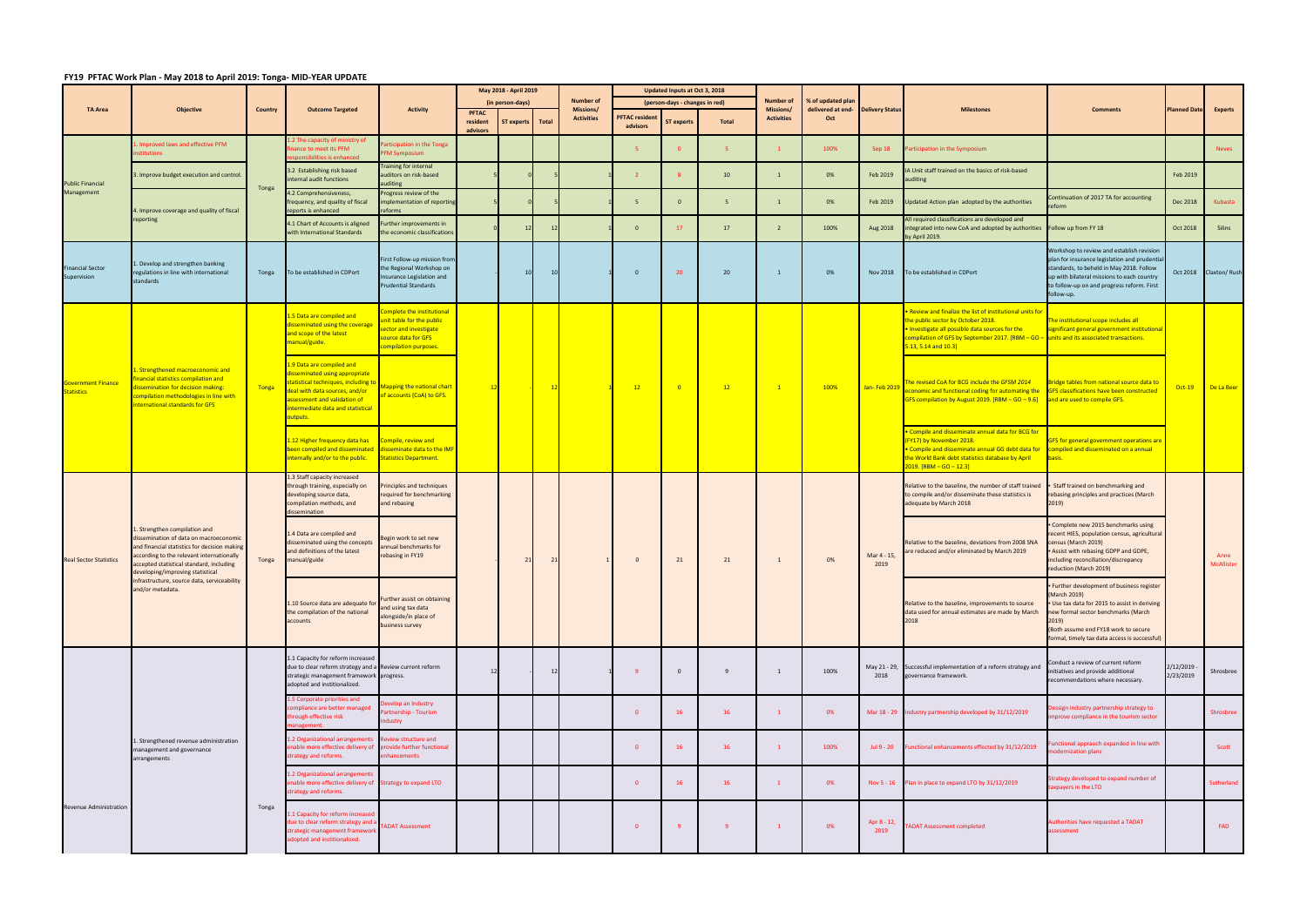## **FY19 PFTAC Work Plan ‐ May 2018 to April 2019: Tonga‐ MID‐YEAR UPDATE**

|                                                |                                                                                                                                                                                                                                                   |                |                                                                                                                                                                                                                       |                                                                                                                              |                          | May 2018 - April 2019                  | <b>Number of</b>               |                                  | Updated Inputs at Oct 3, 2018                       |              | <b>Number of</b>               | <b>6 of updated plan</b> |                        |                                                                                                                                                                                                                                                                           |                                                                                                                                                                                                                                                    |                        |                       |
|------------------------------------------------|---------------------------------------------------------------------------------------------------------------------------------------------------------------------------------------------------------------------------------------------------|----------------|-----------------------------------------------------------------------------------------------------------------------------------------------------------------------------------------------------------------------|------------------------------------------------------------------------------------------------------------------------------|--------------------------|----------------------------------------|--------------------------------|----------------------------------|-----------------------------------------------------|--------------|--------------------------------|--------------------------|------------------------|---------------------------------------------------------------------------------------------------------------------------------------------------------------------------------------------------------------------------------------------------------------------------|----------------------------------------------------------------------------------------------------------------------------------------------------------------------------------------------------------------------------------------------------|------------------------|-----------------------|
| <b>TA Area</b>                                 | <b>Objective</b>                                                                                                                                                                                                                                  | <b>Country</b> | <b>Outcome Targeted</b>                                                                                                                                                                                               | <b>Activity</b>                                                                                                              | <b>PFTAC</b><br>resident | (in person-days)<br>ST experts   Total | Missions/<br><b>Activities</b> | <b>PFTAC residen</b><br>advisors | (person-days - changes in red)<br><b>ST experts</b> | <b>Total</b> | Missions/<br><b>Activities</b> | delivered at end-<br>Oct | <b>Delivery Status</b> | <b>Milestones</b>                                                                                                                                                                                                                                                         | <b>Comments</b>                                                                                                                                                                                                                                    | <b>Planned Date</b>    | <b>Experts</b>        |
|                                                | Improved laws and effective PFM<br>stitutions                                                                                                                                                                                                     |                | 2 The capacity of ministry of<br>nance to meet its PFM<br>sponsibilities is enhanced                                                                                                                                  | rticipation in the Tonga<br>FM Symposium                                                                                     | advisors                 |                                        |                                | -5                               |                                                     | -5.          |                                | 100%                     | Sep 18                 | Participation in the Symposium                                                                                                                                                                                                                                            |                                                                                                                                                                                                                                                    |                        | <b>Neves</b>          |
|                                                | Improve budget execution and control.                                                                                                                                                                                                             |                | 3.2 Establishing risk based<br>nternal audit functions                                                                                                                                                                | Training for internal<br>auditors on risk-based                                                                              |                          |                                        |                                | $\overline{2}$                   |                                                     | 10           | $\overline{1}$                 | 0%                       | Feb 2019               | I Unit staff trained on the basics of risk-based<br>auditing                                                                                                                                                                                                              |                                                                                                                                                                                                                                                    | Feb 2019               |                       |
| <b>Public Financial</b><br>Management          | I. Improve coverage and quality of fiscal                                                                                                                                                                                                         | Tonga          | 4.2 Comprehensiveness,<br>frequency, and quality of fiscal<br>reports is enhanced                                                                                                                                     | iditing<br>Progress review of the<br>nplementation of reporting<br>eforms                                                    |                          |                                        |                                | 5                                | $\Omega$                                            | -5           | $\overline{1}$                 | 0%                       | Feb 2019               | Jpdated Action plan adopted by the authorities                                                                                                                                                                                                                            | Continuation of 2017 TA for accounting<br>reform                                                                                                                                                                                                   | Dec 2018               | Kubasta               |
|                                                | reporting                                                                                                                                                                                                                                         |                | 4.1 Chart of Accounts is aligned<br>with International Standards                                                                                                                                                      | Further improvements in<br>the economic classifications                                                                      |                          | 12                                     |                                | $\overline{0}$                   | 17                                                  | 17           | $\overline{2}$                 | 100%                     | Aug 2018               | All required classifications are developed and<br>integrated into new CoA and adopted by authorities<br>by April 2019.                                                                                                                                                    | Follow up from FY 18                                                                                                                                                                                                                               | Oct 2018               | Silins                |
| <b>Financial Sector</b><br>Supervision         | . Develop and strengthen banking<br>regulations in line with international<br>standards                                                                                                                                                           | Tonga          | To be established in CDPort                                                                                                                                                                                           | First Follow-up mission from<br>the Regional Workshop on<br>Insurance Legislation and<br><b>Prudential Standards</b>         |                          | 10                                     |                                | $\overline{0}$                   | 20                                                  | 20           | -1                             | 0%                       | Nov 2018               | To be established in CDPort                                                                                                                                                                                                                                               | Workshop to review and establish revision<br>plan for insurance legislation and prudential<br>standards, to beheld in May 2018. Follow<br>up with bilateral missions to each country<br>to follow-up on and progress reform. First<br>follow-up.   |                        | Oct 2018 Claxton/Rush |
|                                                |                                                                                                                                                                                                                                                   |                | .5 Data are compiled and<br>isseminated using the coverage<br>and scope of the latest<br>manual/guide.                                                                                                                | omplete the institutional<br>nit table for the public<br>ector and investigate<br>ource data for GFS<br>ompilation purposes. |                          |                                        |                                |                                  |                                                     |              |                                |                          |                        | Review and finalize the list of institutional units for<br>the public sector by October 2018.<br>. Investigate all possible data sources for the<br>compilation of GFS by September 2017. $[RBM - GO -$ units and its associated transactions.<br>$5.13, 5.14$ and $10.3$ | The institutional scope includes all<br>significant general government institutional                                                                                                                                                               |                        |                       |
| <b>Government Finance</b><br><b>Statistics</b> | . Strengthened macroeconomic and<br>nancial statistics compilation and<br><b>Issemination for decision making:</b><br>ompilation methodologies in line with<br>nternational standards for GFS                                                     | Tonga          | 1.9 Data are compiled and<br>disseminated using appropriate<br>statistical techniques, including to<br>deal with data sources, and/or<br>ssessment and validation of<br>Intermediate data and statistical<br>outputs. | lapping the national chart<br>f accounts (CoA) to GFS.                                                                       |                          |                                        |                                | 12                               |                                                     | 12           | $\mathbf{1}$                   | 100%                     | Jan-Feb 2019           | The revised CoA for BCG include the GFSM 2014<br>conomic and functional coding for automating the<br>GFS compilation by August 2019. [RBM - GO - 9.6]                                                                                                                     | Bridge tables from national source data to<br><b>GFS classifications have been constructed</b><br>and are used to compile GFS.                                                                                                                     | $Oct-19$               | De La Beer            |
|                                                |                                                                                                                                                                                                                                                   |                | 1.12 Higher frequency data has<br>been compiled and disseminated<br>internally and/or to the public.                                                                                                                  | ompile, review and<br>disseminate data to the IMF<br><b>Statistics Department.</b>                                           |                          |                                        |                                |                                  |                                                     |              |                                |                          |                        | . Compile and disseminate annual data for BCG for<br>(FY17) by November 2018.<br><b>Compile and disseminate annual GG debt data for</b><br>the World Bank debt statistics database by April<br>2019. [RBM - GO - 12.3]                                                    | GFS for general government operations are<br>compiled and disseminated on a annual<br>basis.                                                                                                                                                       |                        |                       |
|                                                |                                                                                                                                                                                                                                                   |                | 1.3 Staff capacity increased<br>through training, especially on<br>developing source data,<br>compilation methods, and<br>dissemination                                                                               | Principles and techniques<br>required for benchmarking<br>and rebasing                                                       |                          |                                        |                                |                                  |                                                     |              |                                |                          |                        | Relative to the baseline, the number of staff trained<br>to compile and/or disseminate these statistics is<br>adequate by March 2018                                                                                                                                      | Staff trained on benchmarking and<br>rebasing principles and practices (March<br>2019)                                                                                                                                                             |                        |                       |
| <b>Real Sector Statistics</b>                  | . Strengthen compilation and<br>lissemination of data on macroeconomic<br>and financial statistics for decision making<br>ccording to the relevant internationally<br>accepted statistical standard, including<br>eveloping/improving statistical | Tonga          | .4 Data are compiled and<br>disseminated using the concepts<br>and definitions of the latest<br>manual/guide                                                                                                          | Begin work to set new<br>annual benchmarks for<br>rebasing in FY19                                                           |                          |                                        |                                | $\overline{0}$                   | 21                                                  | 21           |                                | 0%                       | Mar 4 - 15,<br>2019    | Relative to the baseline, deviations from 2008 SNA<br>are reduced and/or eliminated by March 2019                                                                                                                                                                         | Complete new 2015 benchmarks using<br>recent HIES, population census, agricultural<br>census (March 2019)<br>Assist with rebasing GDPP and GDPE,<br>including reconciliation/discrepancy<br>reduction (March 2019)                                 |                        | Anne<br>McAllister    |
|                                                | infrastructure, source data, serviceability<br>and/or metadata.                                                                                                                                                                                   |                | 1.10 Source data are adequate for<br>the compilation of the national<br>accounts                                                                                                                                      | Further assist on obtaining<br>and using tax data<br>alongside/in place of<br>business survey                                |                          |                                        |                                |                                  |                                                     |              |                                |                          |                        | Relative to the baseline, improvements to source<br>data used for annual estimates are made by March<br>2018                                                                                                                                                              | · Further development of business register<br>(March 2019)<br>Use tax data for 2015 to assist in deriving<br>new formal sector benchmarks (March<br>2019)<br>(Both assume end FY18 work to secure<br>formal, timely tax data access is successful) |                        |                       |
|                                                |                                                                                                                                                                                                                                                   |                | 1.1 Capacity for reform increased<br>due to clear reform strategy and a Review current reform<br>strategic management framework progress.<br>adopted and institionalized.                                             |                                                                                                                              |                          |                                        |                                | -9                               | $\Omega$                                            | 9            | $\overline{1}$                 | 100%                     | 2018                   | May 21 - 29, Successful implementation of a reform strategy and<br>governance framework.                                                                                                                                                                                  | Conduct a review of current reform<br>initiatives and provide additional<br>recommendations where necessary.                                                                                                                                       | 2/12/2019<br>2/23/2019 | Shrosbree             |
|                                                |                                                                                                                                                                                                                                                   |                | 1.5 Corporate priorities and<br>compliance are better managed<br>through effective risk<br>nanagement.                                                                                                                | evelop an Industry<br>artnership - Tourism<br>ndustry                                                                        |                          |                                        |                                | $\overline{\mathbf{0}}$          | 16                                                  | 16           | $\mathbf{1}$                   | 0%                       |                        | Mar 18 - 29 Industry partnership developed by 31/12/2019                                                                                                                                                                                                                  | Dessign industry partnership strategy to<br>nprove compliance in the tourism sector                                                                                                                                                                |                        | Shrosbree             |
|                                                | . Strengthened revenue administration<br>management and governance<br>arrangements                                                                                                                                                                |                | 1.2 Organizational arrangements<br>enable more effective delivery of provide further functional<br>strategy and reforms.                                                                                              | Review structure and<br>enhancements                                                                                         |                          |                                        |                                | $\overline{0}$                   | 16                                                  | 16           |                                | 100%                     | Jul 9 - 20             | Functional enhancements effected by 31/12/2019                                                                                                                                                                                                                            | unctional appraoch expanded in line with<br>odernization plans                                                                                                                                                                                     |                        | Scott                 |
|                                                |                                                                                                                                                                                                                                                   |                | 1.2 Organizational arrangements<br>enable more effective delivery of Strategy to expand LTO<br>strategy and reforms.                                                                                                  |                                                                                                                              |                          |                                        |                                | $\overline{0}$                   | 16                                                  | 16           | $\mathbf{1}$                   | 0%                       |                        | Nov 5 - 16 Plan in place to expand LTO by 31/12/2019                                                                                                                                                                                                                      | Strategy developed to expand number of<br>taxpayers in the LTO                                                                                                                                                                                     |                        | Sutherland            |
| Revenue Administration                         |                                                                                                                                                                                                                                                   | Tonga          | .1 Capacity for reform increased<br>due to clear reform strategy and a<br>trategic management framework<br>dopted and institionalized.                                                                                | <b>TADAT Assessment</b>                                                                                                      |                          |                                        |                                | $\overline{\mathbf{0}}$          |                                                     |              |                                | 0%                       | Apr 8 - 12,<br>2019    | <b>ADAT Assessment completed</b>                                                                                                                                                                                                                                          | Authorities have requested a TADAT<br>ssessment                                                                                                                                                                                                    |                        | FAD                   |